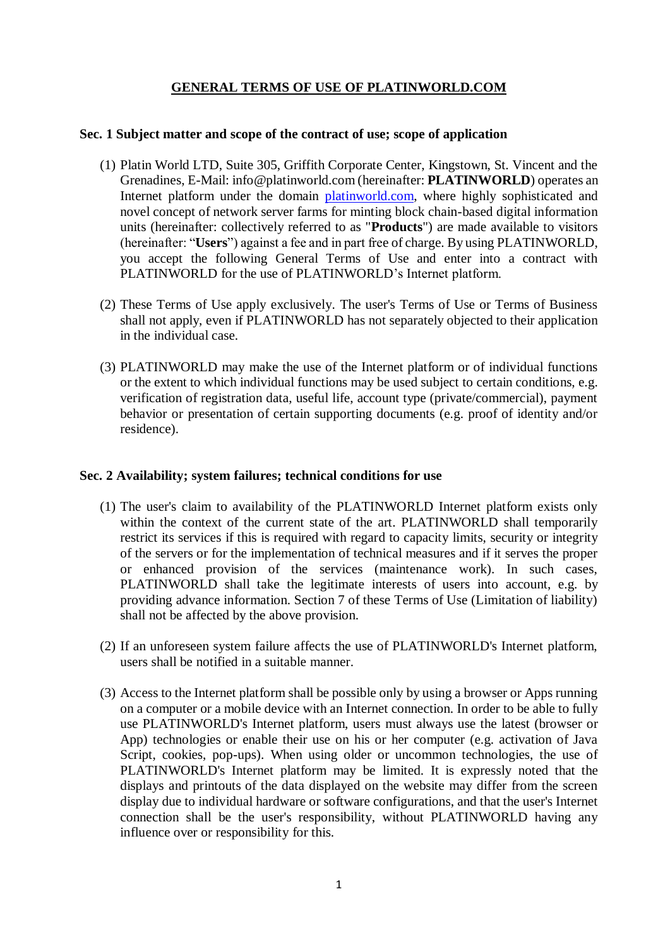# **GENERAL TERMS OF USE OF PLATINWORLD.COM**

#### **Sec. 1 Subject matter and scope of the contract of use; scope of application**

- (1) Platin World LTD, Suite 305, Griffith Corporate Center, Kingstown, St. Vincent and the Grenadines, E-Mail: info@platinworld.com (hereinafter: **PLATINWORLD**) operates an Internet platform under the domain platinworld.com, where highly sophisticated and novel concept of network server farms for minting block chain-based digital information units (hereinafter: collectively referred to as "**Products**") are made available to visitors (hereinafter: "**Users**") against a fee and in part free of charge. By using PLATINWORLD, you accept the following General Terms of Use and enter into a contract with PLATINWORLD for the use of PLATINWORLD's Internet platform.
- (2) These Terms of Use apply exclusively. The user's Terms of Use or Terms of Business shall not apply, even if PLATINWORLD has not separately objected to their application in the individual case.
- (3) PLATINWORLD may make the use of the Internet platform or of individual functions or the extent to which individual functions may be used subject to certain conditions, e.g. verification of registration data, useful life, account type (private/commercial), payment behavior or presentation of certain supporting documents (e.g. proof of identity and/or residence).

## **Sec. 2 Availability; system failures; technical conditions for use**

- (1) The user's claim to availability of the PLATINWORLD Internet platform exists only within the context of the current state of the art. PLATINWORLD shall temporarily restrict its services if this is required with regard to capacity limits, security or integrity of the servers or for the implementation of technical measures and if it serves the proper or enhanced provision of the services (maintenance work). In such cases, PLATINWORLD shall take the legitimate interests of users into account, e.g. by providing advance information. Section 7 of these Terms of Use (Limitation of liability) shall not be affected by the above provision.
- (2) If an unforeseen system failure affects the use of PLATINWORLD's Internet platform, users shall be notified in a suitable manner.
- (3) Access to the Internet platform shall be possible only by using a browser or Apps running on a computer or a mobile device with an Internet connection. In order to be able to fully use PLATINWORLD's Internet platform, users must always use the latest (browser or App) technologies or enable their use on his or her computer (e.g. activation of Java Script, cookies, pop-ups). When using older or uncommon technologies, the use of PLATINWORLD's Internet platform may be limited. It is expressly noted that the displays and printouts of the data displayed on the website may differ from the screen display due to individual hardware or software configurations, and that the user's Internet connection shall be the user's responsibility, without PLATINWORLD having any influence over or responsibility for this.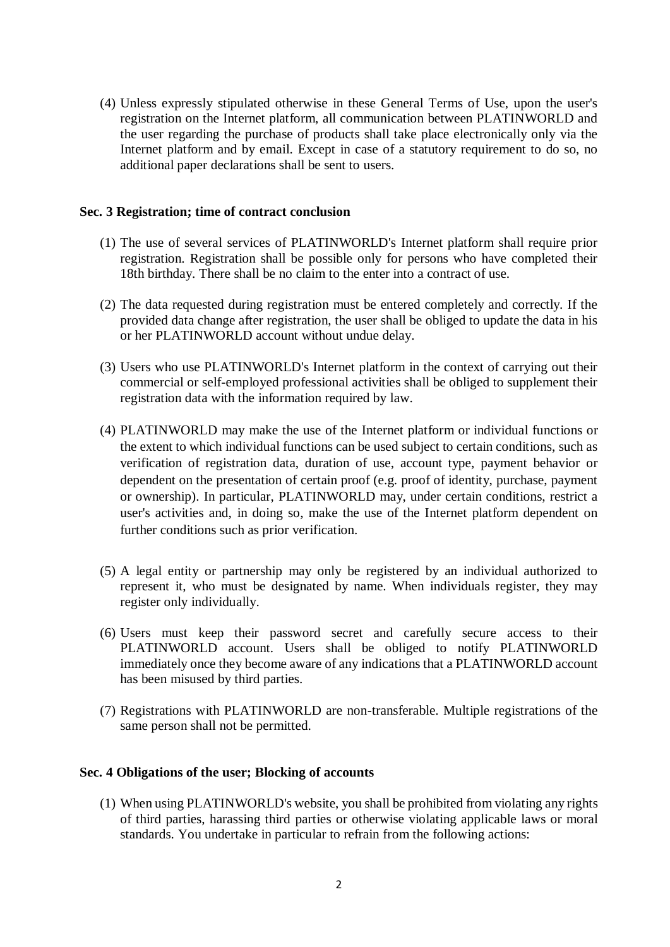(4) Unless expressly stipulated otherwise in these General Terms of Use, upon the user's registration on the Internet platform, all communication between PLATINWORLD and the user regarding the purchase of products shall take place electronically only via the Internet platform and by email. Except in case of a statutory requirement to do so, no additional paper declarations shall be sent to users.

#### **Sec. 3 Registration; time of contract conclusion**

- (1) The use of several services of PLATINWORLD's Internet platform shall require prior registration. Registration shall be possible only for persons who have completed their 18th birthday. There shall be no claim to the enter into a contract of use.
- (2) The data requested during registration must be entered completely and correctly. If the provided data change after registration, the user shall be obliged to update the data in his or her PLATINWORLD account without undue delay.
- (3) Users who use PLATINWORLD's Internet platform in the context of carrying out their commercial or self-employed professional activities shall be obliged to supplement their registration data with the information required by law.
- (4) PLATINWORLD may make the use of the Internet platform or individual functions or the extent to which individual functions can be used subject to certain conditions, such as verification of registration data, duration of use, account type, payment behavior or dependent on the presentation of certain proof (e.g. proof of identity, purchase, payment or ownership). In particular, PLATINWORLD may, under certain conditions, restrict a user's activities and, in doing so, make the use of the Internet platform dependent on further conditions such as prior verification.
- (5) A legal entity or partnership may only be registered by an individual authorized to represent it, who must be designated by name. When individuals register, they may register only individually.
- (6) Users must keep their password secret and carefully secure access to their PLATINWORLD account. Users shall be obliged to notify PLATINWORLD immediately once they become aware of any indications that a PLATINWORLD account has been misused by third parties.
- (7) Registrations with PLATINWORLD are non-transferable. Multiple registrations of the same person shall not be permitted.

#### **Sec. 4 Obligations of the user; Blocking of accounts**

(1) When using PLATINWORLD's website, you shall be prohibited from violating any rights of third parties, harassing third parties or otherwise violating applicable laws or moral standards. You undertake in particular to refrain from the following actions: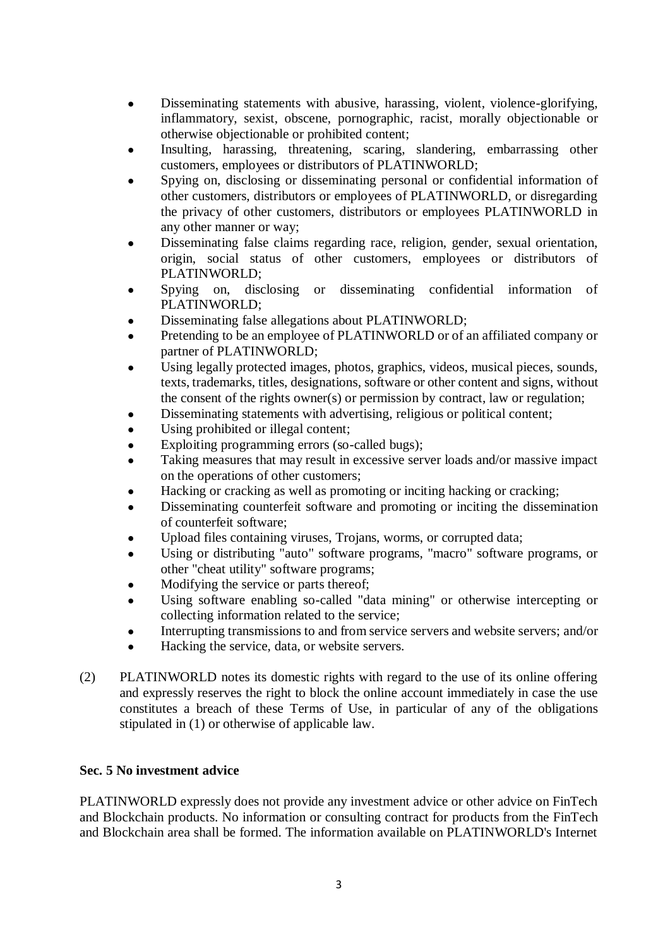- Disseminating statements with abusive, harassing, violent, violence-glorifying, inflammatory, sexist, obscene, pornographic, racist, morally objectionable or otherwise objectionable or prohibited content;
- Insulting, harassing, threatening, scaring, slandering, embarrassing other customers, employees or distributors of PLATINWORLD;
- Spying on, disclosing or disseminating personal or confidential information of other customers, distributors or employees of PLATINWORLD, or disregarding the privacy of other customers, distributors or employees PLATINWORLD in any other manner or way;
- Disseminating false claims regarding race, religion, gender, sexual orientation, origin, social status of other customers, employees or distributors of PLATINWORLD;
- Spying on, disclosing or disseminating confidential information of PLATINWORLD;
- Disseminating false allegations about PLATINWORLD;
- Pretending to be an employee of PLATINWORLD or of an affiliated company or partner of PLATINWORLD;
- Using legally protected images, photos, graphics, videos, musical pieces, sounds, texts, trademarks, titles, designations, software or other content and signs, without the consent of the rights owner(s) or permission by contract, law or regulation;
- Disseminating statements with advertising, religious or political content;
- Using prohibited or illegal content;
- Exploiting programming errors (so-called bugs);
- Taking measures that may result in excessive server loads and/or massive impact on the operations of other customers;
- Hacking or cracking as well as promoting or inciting hacking or cracking;
- Disseminating counterfeit software and promoting or inciting the dissemination of counterfeit software;
- Upload files containing viruses, Trojans, worms, or corrupted data;
- Using or distributing "auto" software programs, "macro" software programs, or other "cheat utility" software programs;
- Modifying the service or parts thereof;
- Using software enabling so-called "data mining" or otherwise intercepting or collecting information related to the service;
- Interrupting transmissions to and from service servers and website servers; and/or
- Hacking the service, data, or website servers.
- (2) PLATINWORLD notes its domestic rights with regard to the use of its online offering and expressly reserves the right to block the online account immediately in case the use constitutes a breach of these Terms of Use, in particular of any of the obligations stipulated in (1) or otherwise of applicable law.

# **Sec. 5 No investment advice**

PLATINWORLD expressly does not provide any investment advice or other advice on FinTech and Blockchain products. No information or consulting contract for products from the FinTech and Blockchain area shall be formed. The information available on PLATINWORLD's Internet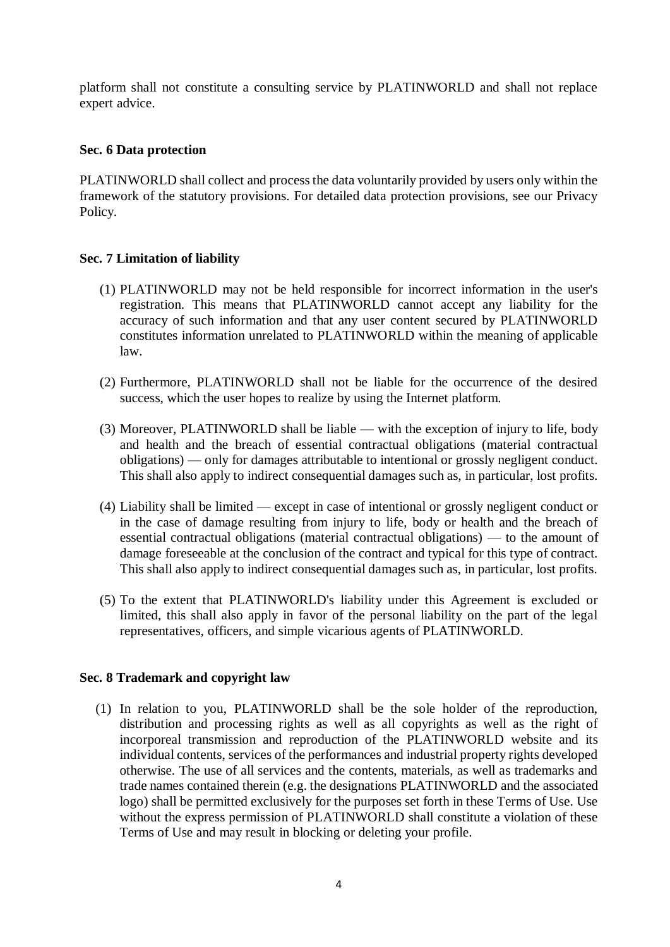platform shall not constitute a consulting service by PLATINWORLD and shall not replace expert advice.

## **Sec. 6 Data protection**

PLATINWORLD shall collect and process the data voluntarily provided by users only within the framework of the statutory provisions. For detailed data protection provisions, see our Privacy Policy.

# **Sec. 7 Limitation of liability**

- (1) PLATINWORLD may not be held responsible for incorrect information in the user's registration. This means that PLATINWORLD cannot accept any liability for the accuracy of such information and that any user content secured by PLATINWORLD constitutes information unrelated to PLATINWORLD within the meaning of applicable law.
- (2) Furthermore, PLATINWORLD shall not be liable for the occurrence of the desired success, which the user hopes to realize by using the Internet platform.
- (3) Moreover, PLATINWORLD shall be liable with the exception of injury to life, body and health and the breach of essential contractual obligations (material contractual obligations) — only for damages attributable to intentional or grossly negligent conduct. This shall also apply to indirect consequential damages such as, in particular, lost profits.
- (4) Liability shall be limited except in case of intentional or grossly negligent conduct or in the case of damage resulting from injury to life, body or health and the breach of essential contractual obligations (material contractual obligations) — to the amount of damage foreseeable at the conclusion of the contract and typical for this type of contract. This shall also apply to indirect consequential damages such as, in particular, lost profits.
- (5) To the extent that PLATINWORLD's liability under this Agreement is excluded or limited, this shall also apply in favor of the personal liability on the part of the legal representatives, officers, and simple vicarious agents of PLATINWORLD.

## **Sec. 8 Trademark and copyright law**

(1) In relation to you, PLATINWORLD shall be the sole holder of the reproduction, distribution and processing rights as well as all copyrights as well as the right of incorporeal transmission and reproduction of the PLATINWORLD website and its individual contents, services of the performances and industrial property rights developed otherwise. The use of all services and the contents, materials, as well as trademarks and trade names contained therein (e.g. the designations PLATINWORLD and the associated logo) shall be permitted exclusively for the purposes set forth in these Terms of Use. Use without the express permission of PLATINWORLD shall constitute a violation of these Terms of Use and may result in blocking or deleting your profile.